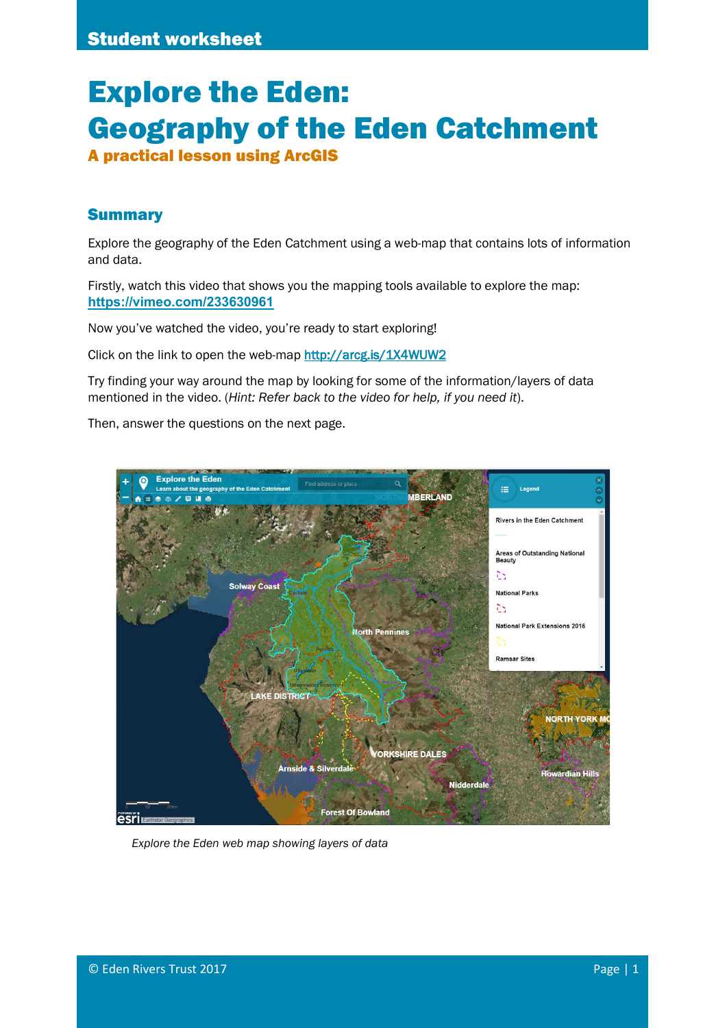# Explore the Eden: Geography of the Eden Catchment

A practical lesson using ArcGIS

## Summary

Explore the geography of the Eden Catchment using a web-map that contains lots of information and data.

Firstly, watch this video that shows you the mapping tools available to explore the map: **<https://vimeo.com/233630961>**

Now you've watched the video, you're ready to start exploring!

Click on the link to open the web-map<http://arcg.is/1X4WUW2>

Try finding your way around the map by looking for some of the information/layers of data mentioned in the video. (*Hint: Refer back to the video for help, if you need it*).

Then, answer the questions on the next page.



*Explore the Eden web map showing layers of data*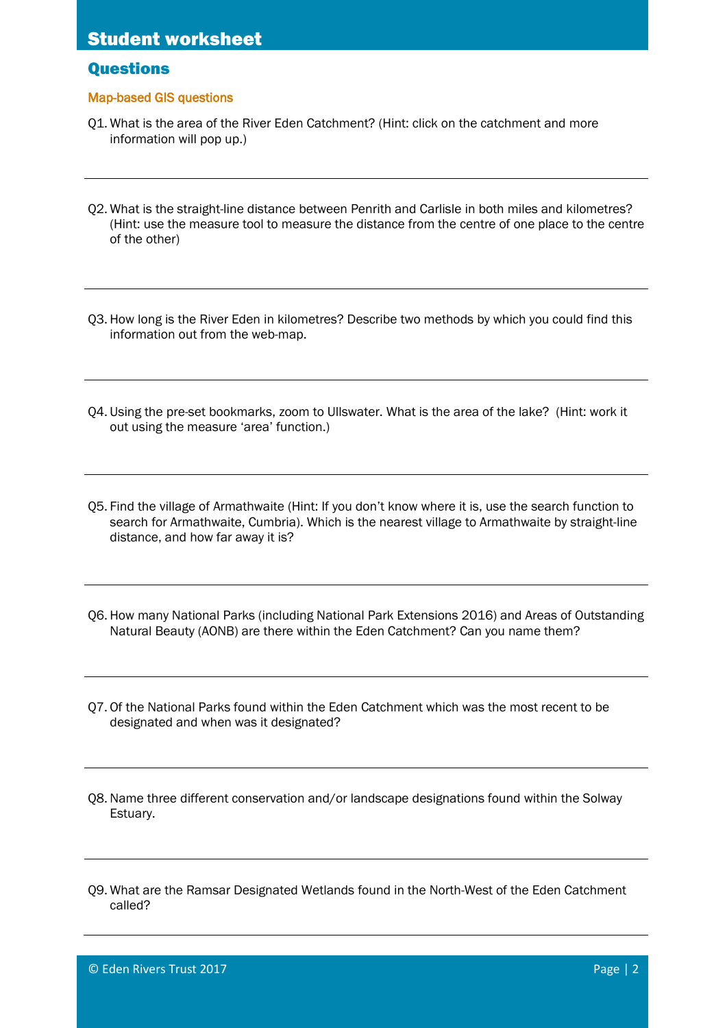## **Questions**

### Map-based GIS questions

- Q1. What is the area of the River Eden Catchment? (Hint: click on the catchment and more information will pop up.)
- Q2. What is the straight-line distance between Penrith and Carlisle in both miles and kilometres? (Hint: use the measure tool to measure the distance from the centre of one place to the centre of the other)
- Q3. How long is the River Eden in kilometres? Describe two methods by which you could find this information out from the web-map.
- Q4. Using the pre-set bookmarks, zoom to Ullswater. What is the area of the lake? (Hint: work it out using the measure 'area' function.)
- Q5. Find the village of Armathwaite (Hint: If you don't know where it is, use the search function to search for Armathwaite, Cumbria). Which is the nearest village to Armathwaite by straight-line distance, and how far away it is?
- Q6. How many National Parks (including National Park Extensions 2016) and Areas of Outstanding Natural Beauty (AONB) are there within the Eden Catchment? Can you name them?
- Q7. Of the National Parks found within the Eden Catchment which was the most recent to be designated and when was it designated?
- Q8.Name three different conservation and/or landscape designations found within the Solway Estuary.
- Q9. What are the Ramsar Designated Wetlands found in the North-West of the Eden Catchment called?